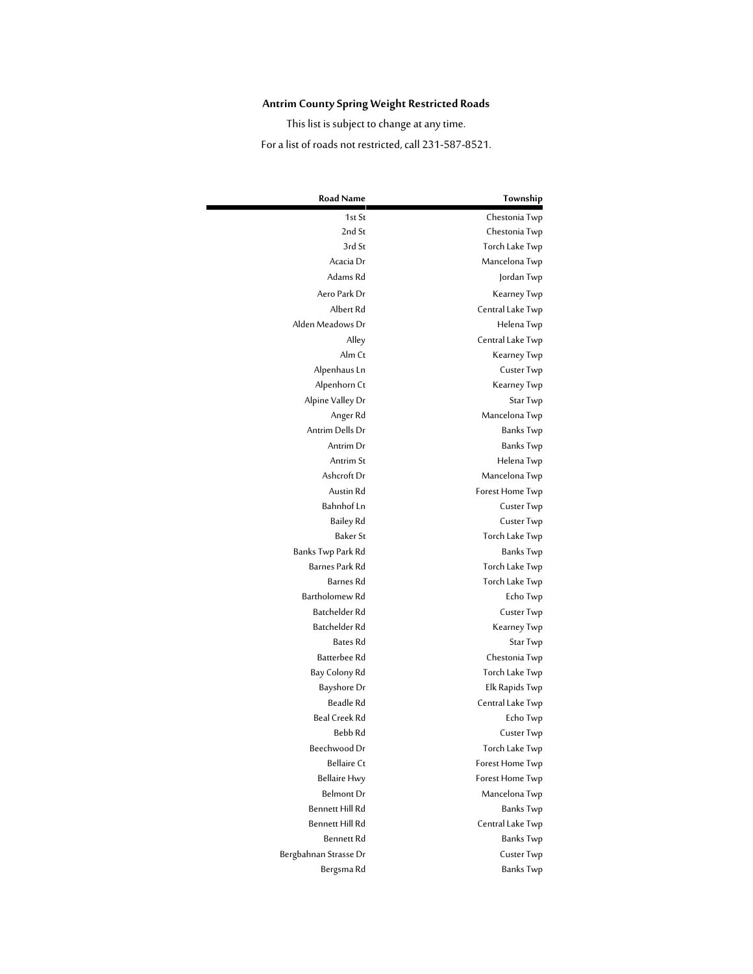## **Antrim County Spring Weight Restricted Roads**

This list is subject to change at any time.

For a list of roads not restricted, call 231-587-8521.

| Township         | <b>Road Name</b>       |
|------------------|------------------------|
| Chestonia Twp    | 1st St                 |
| Chestonia Twp    | 2nd St                 |
| Torch Lake Twp   | 3rd St                 |
| Mancelona Twp    | Acacia Dr              |
| Jordan Twp       | Adams Rd               |
| Kearney Twp      | Aero Park Dr           |
| Central Lake Twp | Albert Rd              |
| Helena Twp       | Alden Meadows Dr       |
| Central Lake Twp | Alley                  |
| Kearney Twp      | Alm Ct                 |
| Custer Twp       | Alpenhaus Ln           |
| Kearney Twp      | Alpenhorn Ct           |
| Star Twp         | Alpine Valley Dr       |
| Mancelona Twp    | Anger Rd               |
| Banks Twp        | Antrim Dells Dr        |
| Banks Twp        | Antrim Dr              |
| Helena Twp       | Antrim St              |
| Mancelona Twp    | Ashcroft Dr            |
| Forest Home Twp  | Austin Rd              |
| Custer Twp       | Bahnhof Ln             |
| Custer Twp       | Bailey Rd              |
| Torch Lake Twp   | Baker St               |
| Banks Twp        | Banks Twp Park Rd      |
| Torch Lake Twp   | Barnes Park Rd         |
| Torch Lake Twp   | Barnes Rd              |
| Echo Twp         | Bartholomew Rd         |
| Custer Twp       | Batchelder Rd          |
| Kearney Twp      | Batchelder Rd          |
| Star Twp         | <b>Bates Rd</b>        |
| Chestonia Twp    | Batterbee Rd           |
| Torch Lake Twp   | Bay Colony Rd          |
| Elk Rapids Twp   | Bayshore Dr            |
| Central Lake Twp | Beadle Rd              |
| Echo Twp         | Beal Creek Rd          |
| Custer Twp       | Bebb Rd                |
| Torch Lake Twp   | Beechwood Dr           |
| Forest Home Twp  | <b>Bellaire Ct</b>     |
| Forest Home Twp  | <b>Bellaire Hwy</b>    |
| Mancelona Twp    | Belmont Dr             |
| Banks Twp        | Bennett Hill Rd        |
| Central Lake Twp | <b>Bennett Hill Rd</b> |
| Banks Twp        | Bennett Rd             |
| Custer Twp       | Bergbahnan Strasse Dr  |
| <b>Banks Twp</b> | Bergsma Rd             |
|                  |                        |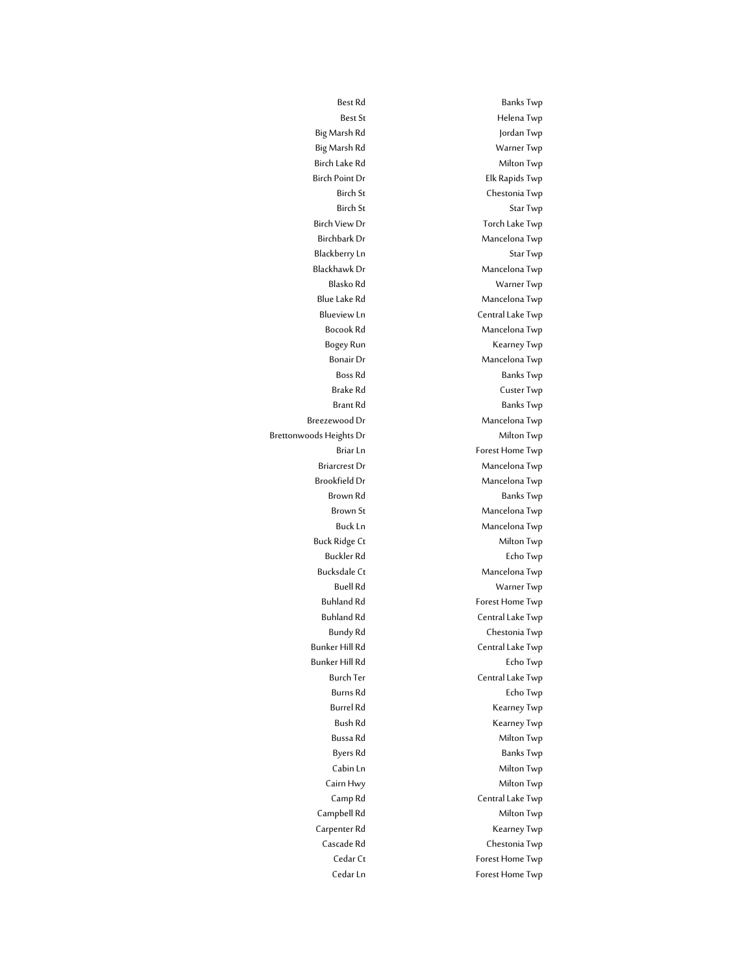Best Rd Banks Twp Best St **Helena Twp** Big Marsh Rd Jordan Twp Big Marsh Rd Warner Twp Birch Lake Rd Milton Twp Birch Point Dr **Elk Rapids Twp** Birch St Chestonia Twp Birch St Star Twp Birch View Dr Torch Lake Twp Birchbark Dr Mancelona Twp Blackberry Ln Star Twp Blackhawk Dr Mancelona Twp Blasko Rd Warner Twp Blue Lake Rd Mancelona Twp Blueview Ln<br>
Central Lake Twp Bocook Rd Mancelona Twp Bogey Run **Kearney Twp** Bonair Dr Mancelona Twp Boss Rd Banks Twp Brake Rd Custer Twp Brant Rd Banks Twp Breezewood Dr Mancelona Twp Briar Ln<br>
Forest Home Twp Briarcrest Dr Mancelona Twp Brookfield Dr Mancelona Twp Brown Rd Banks Twp Brown St Mancelona Twp Buck Ln Mancelona Twp Buck Ridge Ct **Milton Twp** Buckler Rd **Echo Twp** Bucksdale Ct Mancelona Twp Buell Rd Warner Twp Buhland Rd **Forest Home Twp** Buhland Rd Central Lake Twp Bundy Rd Chestonia Twp Bunker Hill Rd **Central Lake Twp** Bunker Hill Rd **Echo Twp** Burch Ter Central Lake Twp Burns Rd Echo Twp Burrel Rd Kearney Twp Bush Rd **Kearney Twp** Bussa Rd<br>
Milton Twp Byers Rd Banks Twp Cabin Ln<br>
Milton Twp Cairn Hwy **Milton Twp** Camp Rd Central Lake Twp Campbell Rd Milton Twp Carpenter Rd **Kearney Twp** Cascade Rd Chestonia Twp Cedar Ct Forest Home Twp Cedar Ln<br>
Forest Home Twp

Brettonwoods Heights Dr Milton Twp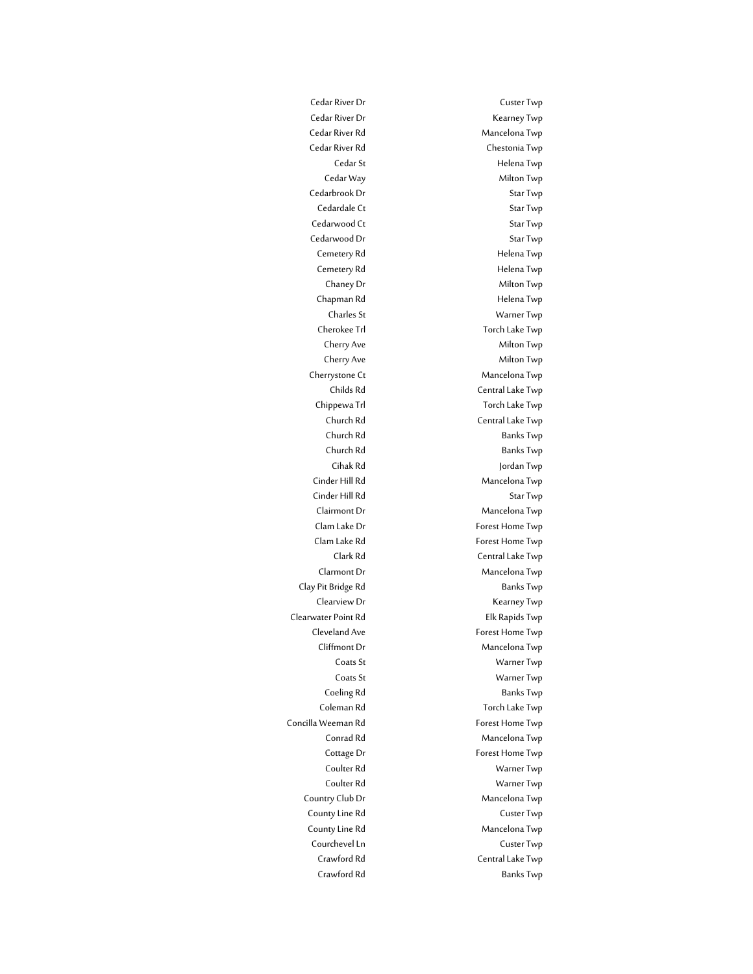Cedar River Dr Kearney Twp Cedar River Rd Mancelona Twp Cedar River Rd Chestonia Twp Cedar St **Helena Twp** Cedar Way **Milton Twp** Cedarbrook Dr Star Twp Cedardale Ct Star Twp Cedarwood Ct Star Twp Cedarwood Dr Star Twp Cemetery Rd **Helena Twp** Cemetery Rd
Helena Twp
Benetery Rd
annual Cemetery Rd
Benetery Rd
Benetery Rd
Benetery Rd
Benetery Rd
Benetery Rd
Benetery Rd
Benetery Rd
Benetery Rd
Benetery Rd
Benetery Rd
Benetery Rd
Benetery Rd
Benetery Rd
Benetery Rd Chaney Dr Milton Twp Chapman Rd **Helena Twp** Charles St Warner Twp Cherokee Trl **Torch Lake Twp** Cherry Ave Milton Twp Cherry Ave Milton Twp Cherrystone Ct Mancelona Twp Childs Rd Central Lake Twp Chippewa Trl Torch Lake Twp Church Rd Central Lake Twp Church Rd Banks Twp Church Rd Banks Twp Cihak Rd Jordan Twp Cinder Hill Rd Mancelona Twp Cinder Hill Rd Star Twp Clairmont Dr Mancelona Twp Clam Lake Dr Forest Home Twp Clam Lake Rd Forest Home Twp Clark Rd Central Lake Twp Clarmont Dr Mancelona Twp Clay Pit Bridge Rd Banks Twp Clearview Dr **Kearney Twp** Clearwater Point Rd Elk Rapids Twp Cleveland Ave **Forest Home Twp** Cliffmont Dr Mancelona Twp Coats St Warner Twp Coats St Warner Twp Coeling Rd Banks Twp Coleman Rd Torch Lake Twp Concilla Weeman Rd **Forest Home Twp** Conrad Rd
Mancelona Twp
Mancelona Twp
Mancelona Twp
Mancelona Twp
Mancelona Twp
Mancelona Twp
Mancelona Twp
Mancelona Twp
Mancelona Twp
Mancelona Twp
Mancelona Twp
Mancelona Twp
Mancelona Twp
Mancelona Twp
Mancelona Twp
Ma Cottage Dr Forest Home Twp Coulter Rd Warner Twp Coulter Rd Warner Twp Country Club Dr Mancelona Twp County Line Rd **County** Line Rd **Custer Twp**Custer Twp **Custer** County Line Rd Mancelona Twp Courchevel Ln Custer Twp Crawford Rd Central Lake Twp Crawford Rd Banks Twp

Cedar River Dr Custer Twp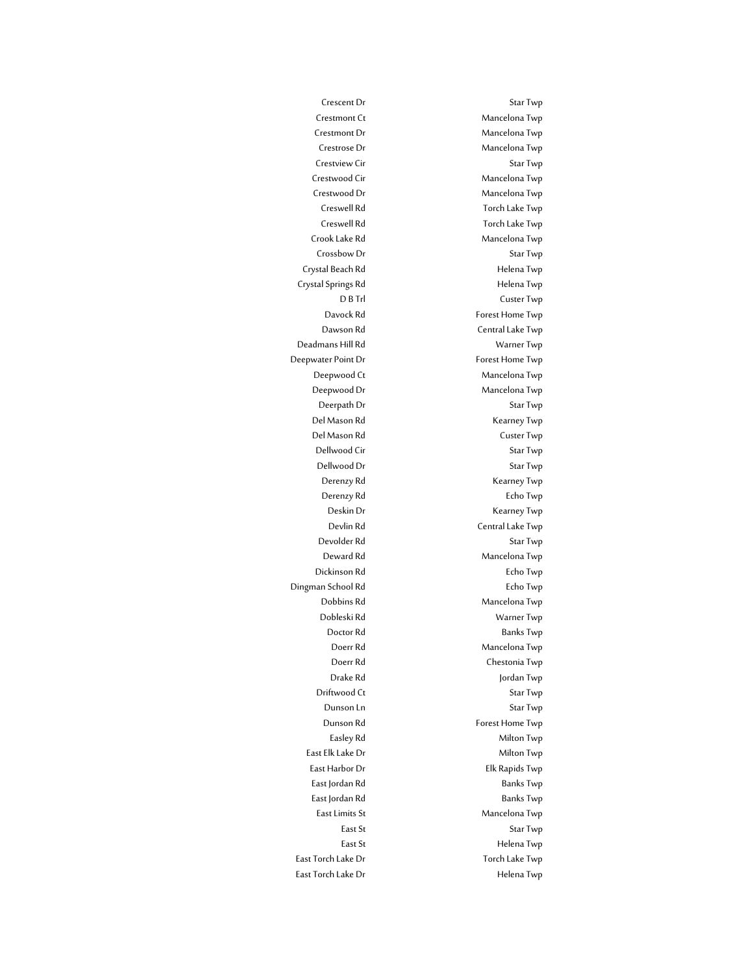Crescent Dr Star Twp Crestmont Ct Mancelona Twp Crestmont Dr Mancelona Twp Crestrose Dr Mancelona Twp Crestview Cir **Star Twp** Crestwood Cir Mancelona Twp Crestwood Dr Mancelona Twp Creswell Rd
Torch Lake Twp
Torch Lake Twp
Torch
Lake Twp
Torch
Lake Twp
Torch
Lake Twp
Torch
Lake Twp
Torch
Lake Twp
Torch
Lake Twp
Torch
Lake Twp
Torch
Lake Twp
Torch
Lake Twp
Torch
Lake Twp
Torch
Lake Twp
Torch
Lake Twp Creswell Rd
Torch Lake Twp
Torch Lake Twp
Torch
Lake Twp
Torch
Lake Twp
Torch
Lake Twp
Torch
Lake Twp
Torch
Lake Twp
Torch
Lake Twp
Torch
Lake Twp
Torch
Lake Twp
Torch
Lake Twp
Torch
Lake Twp
Torch
Lake Twp
Torch
Lake Twp Crook Lake Rd Mancelona Twp Crossbow Dr Star Twp Crystal Beach Rd **Helena Twp** Crystal Springs Rd **Helena Twp** D B Trl Custer Twp Davock Rd Forest Home Twp Dawson Rd Central Lake Twp Deadmans Hill Rd Warner Twp Deepwater Point Dr Forest Home Twp Deepwood Ct Mancelona Twp Deepwood Dr Mancelona Twp Deerpath Dr Star Twp Del Mason Rd<br>
Kearney Twp Del Mason Rd Custer Twp Dellwood Cir Star Twp Dellwood Dr Star Twp Derenzy Rd<br>
Kearney Twp Derenzy Rd Echo Twp Deskin Dr Kearney Twp Devlin Rd Central Lake Twp Devolder Rd Star Twp Deward Rd Mancelona Twp Dickinson Rd Echo Twp Dingman School Rd **Echo Twp** Dobbins Rd Mancelona Twp Dobleski Rd Warner Twp Doctor Rd Banks Twp Doerr Rd Mancelona Twp Doerr Rd Chestonia Twp Drake Rd Jordan Twp Driftwood Ct Star Twp Dunson Ln Star Twp Dunson Rd
Forest Home Twp
Bunson Rd
<sub>Forest</sub> Home Twp
<sub>Forest</sub> Easley Rd Milton Twp East Elk Lake Dr Milton Twp East Harbor Dr **Elk Rapids Twp** East Jordan Rd Banks Twp East Jordan Rd Banks Twp East Limits St **Mancelona** Twp East St Star Twp East St **Helena Twp** East Torch Lake Dr Torch Lake Twp East Torch Lake Dr **East Torch Lake Dr** Helena Twp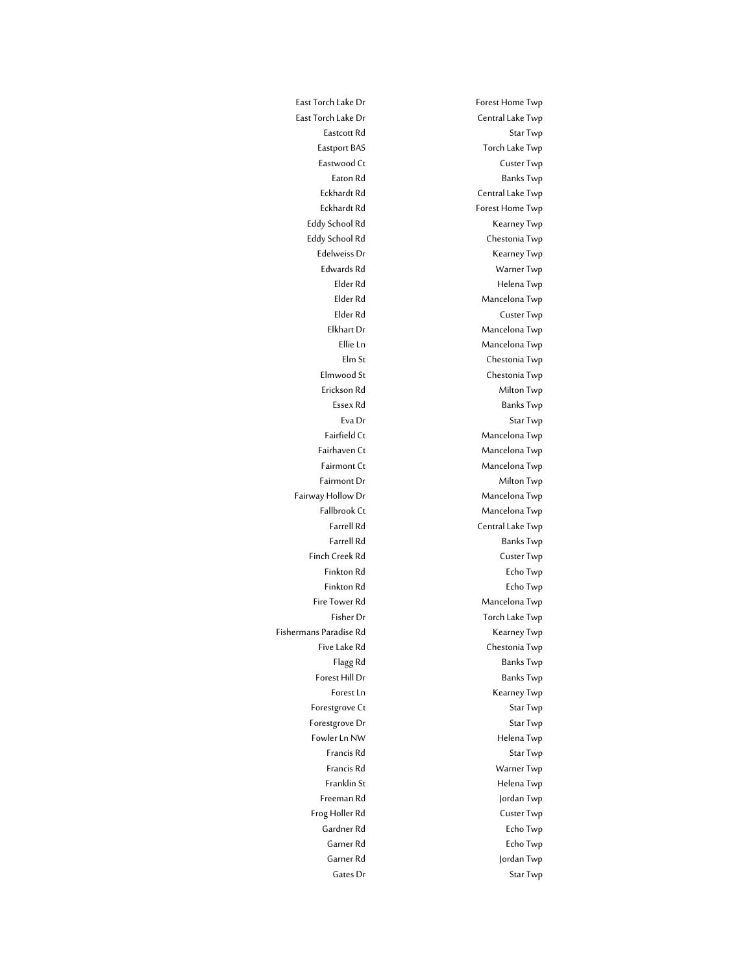East Torch Lake Dr Central Lake Twp Eastcott Rd Star Twp Eastport BAS Torch Lake Twp Eastwood Ct **Custer Twp** Eaton Rd Banks Twp Eckhardt Rd Central Lake Twp Eckhardt Rd Forest Home Twp Eddy School Rd<br>
Kearney Twp Eddy School Rd<br>
Chestonia Twp Edelweiss Dr Kearney Twp Edwards Rd Warner Twp Elder Rd **Helena Twp** Elder Rd<br>
Mancelona Twp Elder Rd Custer Twp Elkhart Dr Mancelona Twp Ellie Ln Mancelona Twp Elm St Chestonia Twp Elmwood St Chestonia Twp Erickson Rd Milton Twp Essex Rd Banks Twp Eva Dr Star Twp Fairfield Ct Mancelona Twp Fairhaven Ct **Mancelona** Twp Fairmont Ct Mancelona Twp Fairmont Dr Milton Twp Fairway Hollow Dr **Mancelona** Twp Fallbrook Ct Mancelona Twp Farrell Rd **Central Lake Twp** Farrell Rd Banks Twp Finch Creek Rd **Custer Twp**Custer Twp **Custer** Finkton Rd Echo Twp Finkton Rd **Echo Twp** Fire Tower Rd Mancelona Twp Fisher Dr Torch Lake Twp Fishermans Paradise Rd **Kearney Twp** Five Lake Rd **Chestonia Twp** Flagg Rd Banks Twp Forest Hill Dr Banks Twp Forest Ln Kearney Twp Forestgrove Ct Star Twp Forestgrove Dr Star Twp Fowler Ln NW **Helena Twp** Francis Rd Star Twp Francis Rd Warner Twp Franklin St **Helena** Twp Freeman Rd Jordan Twp Frog Holler Rd Custer Twp Gardner Rd Echo Twp Garner Rd Echo Twp Garner Rd **Garner Rd** Jordan Twp Gates Dr Star Twp

East Torch Lake Dr Forest Home Twp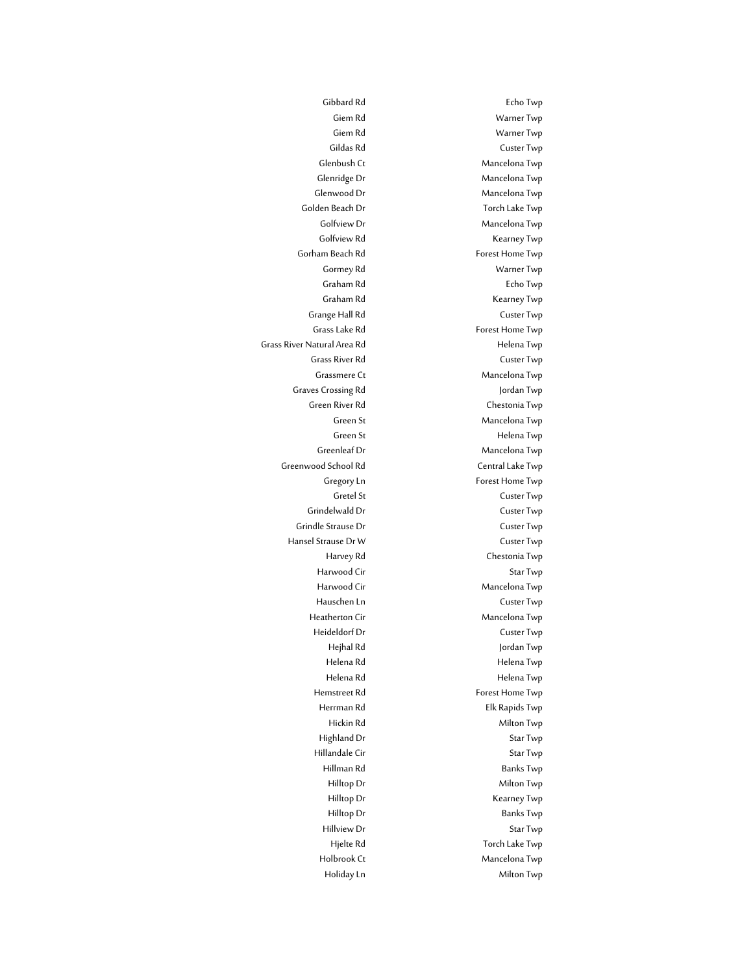Gibbard Rd Echo Twp Giem Rd Warner Twp Giem Rd Warner Twp Gildas Rd Custer Twp Glenbush Ct Mancelona Twp Glenridge Dr Mancelona Twp Glenwood Dr Mancelona Twp Golden Beach Dr Torch Lake Twp Golfview Dr Mancelona Twp Golfview Rd Kearney Twp Gormey Rd Warner Twp Graham Rd Echo Twp Graham Rd Kearney Twp Grange Hall Rd Custer Twp Grass Lake Rd **Forest Home Twp** Grass River Rd **Custer Twp** Grassmere Ct Mancelona Twp Green River Rd Chestonia Twp Green St **Mancelona** Twp Green St Helena Twp Greenleaf Dr Mancelona Twp Gregory Ln Forest Home Twp Gretel St Custer Twp Grindelwald Dr Custer Twp Harvey Rd Chestonia Twp Harwood Cir Star Twp Harwood Cir **Mancelona Twp** Hauschen Ln Custer Twp Heatherton Cir Mancelona Twp Heideldorf Dr Custer Twp Hejhal Rd Jordan Twp Helena Rd **Helena Twp** Helena Rd Helena Twp Hemstreet Rd Forest Home Twp Herrman Rd Elk Rapids Twp Hickin Rd Milton Twp Highland Dr Star Twp Hillandale Cir Star Twp Hillman Rd Banks Twp Hilltop Dr Milton Twp Hilltop Dr Kearney Twp Hilltop Dr Banks Twp Hillview Dr Star Twp Hjelte Rd Torch Lake Twp Holbrook Ct Mancelona Twp Holiday Ln **Milton Twp** 

Gorham Beach Rd Forest Home Twp Grass River Natural Area Rd **Helena Twp** Graves Crossing Rd
and Twp
and Twp
and Twp
and Twp
and Twp
and Twp
and Twp
and Twp
and Twp
and Twp
and Twp
and Twp
and Twp
and Twp
and Twp
and Twp
and Twp
and Twp
and Twp
and Twp
and Twp
and Twp
and Twp
and Twp
and Twp
and Greenwood School Rd Central Lake Twp Grindle Strause Dr **Custer Twp** Hansel Strause Dr W Custer Twp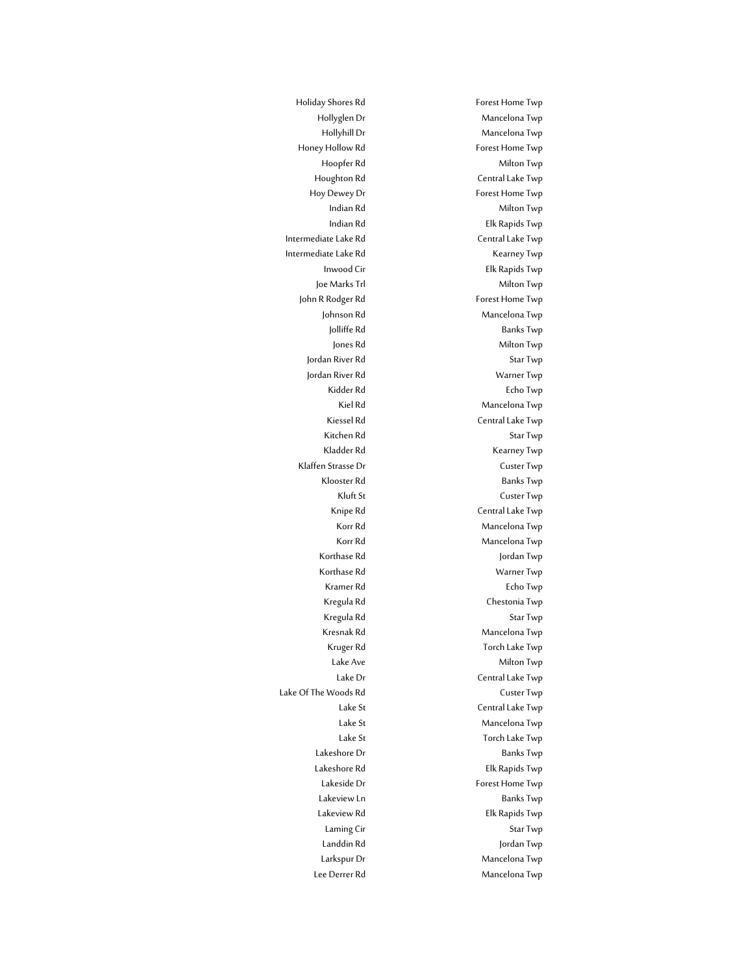Hollyglen Dr Mancelona Twp Hollyhill Dr Mancelona Twp Hoopfer Rd Milton Twp Houghton Rd Central Lake Twp Hoy Dewey Dr Forest Home Twp Indian Rd Milton Twp Indian Rd Elk Rapids Twp Inwood Cir Elk Rapids Twp Joe Marks Trl Milton Twp Johnson Rd<br>
Mancelona Twp Jolliffe Rd Banks Twp Jones Rd
Milton Twp
Milton Twp
Milton Twp
Milton Twp
Milton Twp
Milton Twp
Milton Twp
Milton Twp
Milton Twp
Milton Twp
Milton Twp
Milton Twp
Milton Twp
Milton Twp
Milton Twp
Milton Twp
Milton Twp
Milton Twp
Milton Twp
Milt Jordan River Rd Star Twp Jordan River Rd Warner Twp Kidder Rd **Echo Twp** Kiel Rd<br>
Mancelona Twp Kiessel Rd<br>
Central Lake Twp Kitchen Rd Star Twp Kladder Rd<br>
Kearney Twp Klooster Rd Banks Twp Kluft St Custer Twp Knipe Rd Central Lake Twp Korr Rd<br>
Mancelona Twp Korr Rd Mancelona Twp Korthase Rd<br>
Jordan Twp Korthase Rd Warner Twp Kramer Rd **Echo Twp** Kregula Rd Chestonia Twp Kregula Rd<br>
Star Twp Kresnak Rd Mancelona Twp Kruger Rd **Torch Lake Twp** Lake Ave Milton Twp Lake Dr Central Lake Twp Lake St Central Lake Twp Lake St Mancelona Twp Lake St Torch Lake Twp Lakeshore Dr Banks Twp Lakeshore Rd Elk Rapids Twp Lakeside Dr Forest Home Twp Lakeview Ln Banks Twp Lakeview Rd<br>
Elk Rapids Twp Laming Cir **Star Twp** Landdin Rd Jordan Twp Larkspur Dr Mancelona Twp Lee Derrer Rd Mancelona Twp

Holiday Shores Rd Forest Home Twp Honey Hollow Rd **Forest Home Twp** Intermediate Lake Rd Central Lake Twp Intermediate Lake Rd **Kearney Twp** John R Rodger Rd Forest Home Twp Klaffen Strasse Dr Custer Twp Lake Of The Woods Rd Custer Twp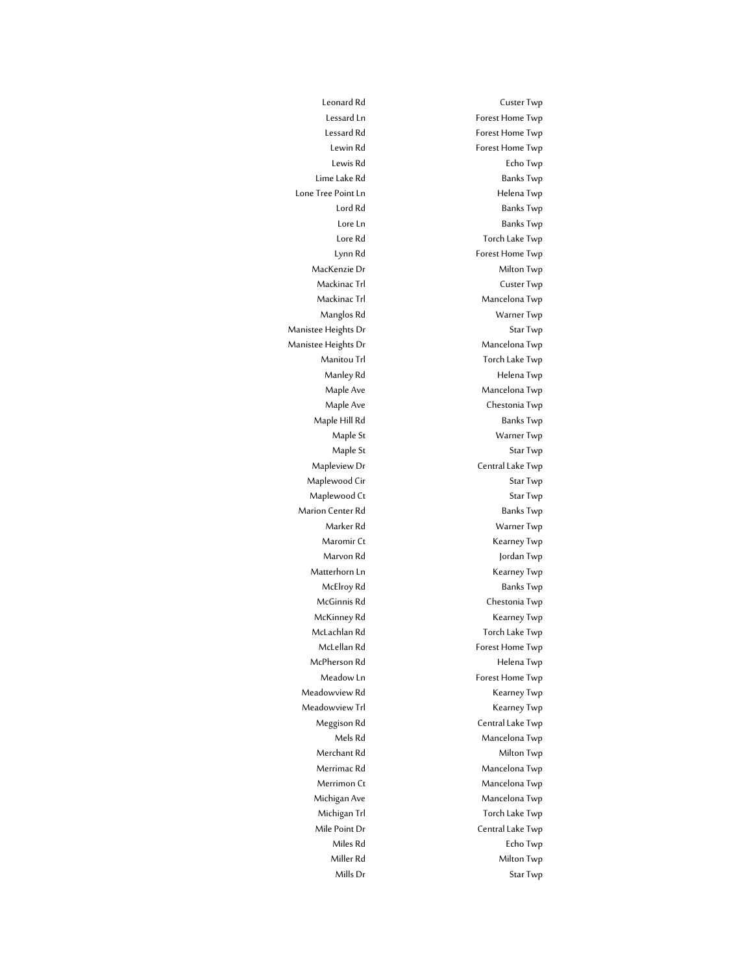Leonard Rd Custer Twp Lessard Ln<br>
Forest Home Twp Lessard Rd
Forest Home Twp **Forest** Home Twp **Forest** Lewin Rd
Forest Home Twp Lewis Rd Echo Twp Lime Lake Rd Banks Twp Lone Tree Point Ln<br>
Helena Twp Lord Rd Banks Twp Lore Ln Banks Twp Lore Rd Torch Lake Twp Lynn Rd<br>Forest Home Twp MacKenzie Dr Milton Twp Mackinac Trl **Custer Twp** Mackinac Trl Mancelona Twp Manglos Rd Warner Twp Manistee Heights Dr Star Twp Manistee Heights Dr Mancelona Twp Manitou Trl **The Twing Contract Contract To Torch Lake Twp** Manley Rd **Helena Twp** Maple Ave Mancelona Twp Maple Ave Chestonia Twp Maple Hill Rd Banks Twp Maple St Warner Twp Maple St Star Twp Mapleview Dr **Central Lake Twp** Maplewood Cir Star Twp Maplewood Ct Star Twp Marion Center Rd
Banks Twp
Banks Twp
Banks Twp
Banks Twp
Banks Twp
Banks Twp
Banks Twp
Banks Twp
Banks Twp
Banks Twp
Banks Twp
Banks Twp
Banks Twp
Banks Twp
Banks Twp
Banks Twp
Banks Twp
Banks Twp
Banks Twp
Banks Twp
Banks Marker Rd Warner Twp Maromir Ct **Kearney Twp** Marvon Rd Jordan Twp Matterhorn Ln<br>
Kearney Twp McElroy Rd Banks Twp McGinnis Rd Chestonia Twp McKinney Rd **Kearney Twp** McLachlan Rd **Torch Lake Twp** McLellan Rd Forest Home Twp McPherson Rd **Helena** Twp Meadow Ln Forest Home Twp Meadowview Rd Kearney Twp Meadowview Trl **Kearney Twp** Meggison Rd Central Lake Twp Mels Rd Mancelona Twp Merchant Rd
Milton Twp
Milton Twp
Milton Twp
Milton Twp
Milton Twp
Milton Twp
Milton Twp
Milton Twp
Milton Twp
Milton Twp
Milton Twp
Milton Twp
Milton Twp
Milton Twp
Milton Twp
Milton Twp
Milton Twp
Milton Twp
Milton Twp
M Merrimac Rd Mancelona Twp Merrimon Ct Mancelona Twp Michigan Ave Mancelona Twp Michigan Trl **Torch Lake Twp** Mile Point Dr Central Lake Twp Miles Rd Echo Twp Miller Rd Milton Twp Mills Dr Star Twp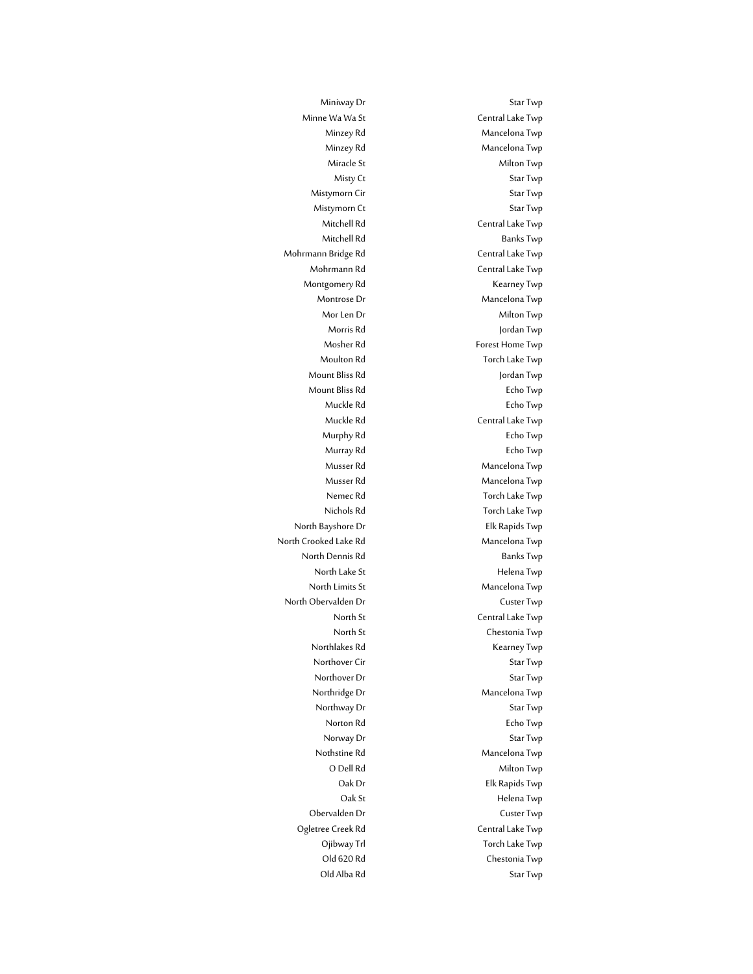Miniway Dr Star Twp Minne Wa Wa St **Central Lake Twp** Minzey Rd Mancelona Twp Minzey Rd Mancelona Twp Miracle St Milton Twp Misty Ct Star Twp Mistymorn Cir Star Twp Mistymorn Ct Star Twp Mitchell Rd Central Lake Twp Mitchell Rd Banks Twp Mohrmann Rd Central Lake Twp Montgomery Rd Kearney Twp Montrose Dr **Mancelona** Twp Mor Len Dr Milton Twp Morris Rd Jordan Twp Mosher Rd
Forest Home Twp

Forest Home Twp

Two Sherike Two Two Sherike Two Two Sherike Two Sherike Two Sherike Two Sherike Two Sherike Two Sherike Two Sherike Two Sherike Two Sherike Two Sherike Two Sherike Two Sherike T Moulton Rd **Torch Lake Twp** Mount Bliss Rd Jordan Twp Mount Bliss Rd Echo Twp Muckle Rd **Echo Twp** Muckle Rd Central Lake Twp Murphy Rd **Echo Twp** Murray Rd
Burray Rd
and Twp
and Twp
and Twp
and Twp
and Twp
and Twp
and Twp
and Twp
and Twp
and Twp
and Twp
and Twp
and Twp
and Twp
and Twp
and Twp
and Twp
and Twp
and Twp
and Twp
and Twp
and Twp
and Twp
and Twp
and Twp
an Musser Rd Mancelona Twp Musser Rd Mancelona Twp Nemec Rd **Torch Lake Twp** Nichols Rd Torch Lake Twp North Dennis Rd<br>Banks Twp North Lake St Helena Twp North Limits St Mancelona Twp North St Central Lake Twp North St Chestonia Twp Northlakes Rd Kearney Twp Northover Cir Star Twp Northover Dr Star Twp Northridge Dr Mancelona Twp Northway Dr Star Twp Norton Rd
Book Contains the Echo Twp
Book Contains the Echo Twp
Book Contains the Echo Twp
Book Contains the Echo Twp
Book Contains the Echo Twp
Book Contains the Echo Twp
Book Contains the Echo Twp
Book Contains the Echo Norway Dr Star Twp Nothstine Rd<br>
Mancelona Twp O Dell Rd
Milton Twp
Milton Twp
Milton Twp
Milton Twp
Milton Twp
Milton Twp
Milton Twp
Milton Twp
Milton Twp
Milton Twp
Milton Twp
Milton Twp
Milton Twp
Milton Twp
Milton Twp
Milton Twp
Milton Twp
Milton Twp
Milton Twp
Mil Oak Dr Elk Rapids Twp Oak St **Helena Twp** Obervalden Dr Custer Twp Ojibway Trl Torch Lake Twp Old 620 Rd<br>
Chestonia Twp Old Alba Rd Star Twp

Mohrmann Bridge Rd Central Lake Twp North Bayshore Dr Elk Rapids Twp North Crooked Lake Rd Mancelona Twp North Obervalden Dr Custer Twp Ogletree Creek Rd Central Lake Twp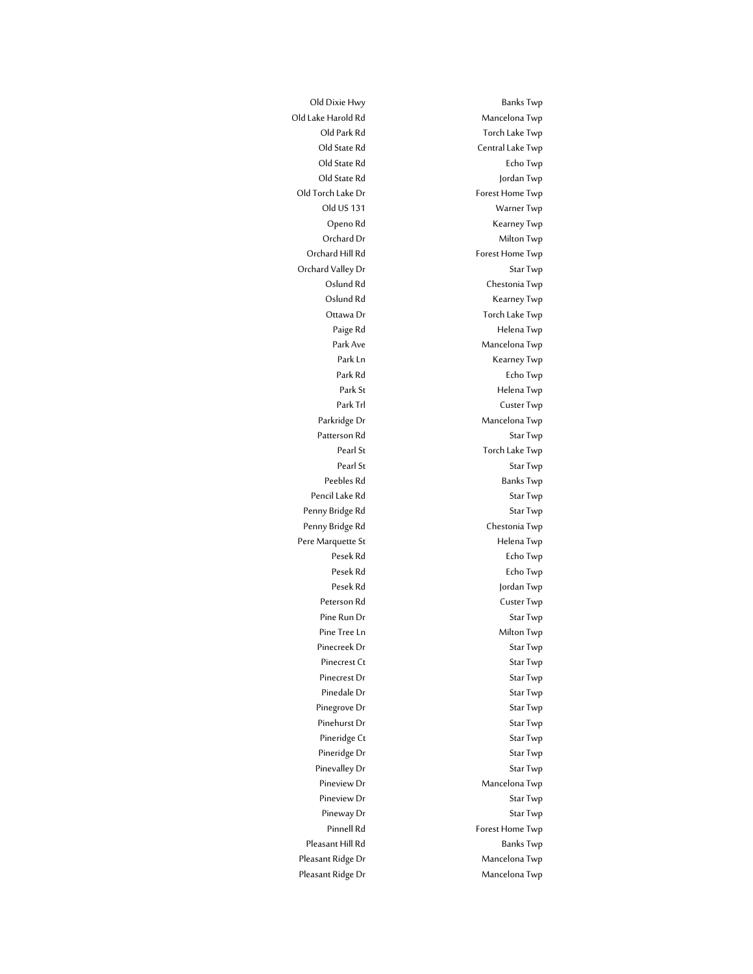Old Lake Harold Rd Mancelona Twp Old Park Rd Torch Lake Twp Old State Rd **Central Lake Twp** Old State Rd
Echo Twp
Bold State Rd
Echo Twp
Bold State Rd
Echo Twp
Bold State Rd
Echo Twp
Bold State Rd
Echo Twp
Bold State Rd
Echo Twp
Bold State Rd
Echo Twp
Bold State Rd
Echo Twp
Bold State Rd
Echo Twp
Bold State Rd
Ec Old State Rd Jordan Twp Old Torch Lake Dr Forest Home Twp Old US 131 Warner Twp Openo Rd Kearney Twp Orchard Dr Milton Twp Orchard Hill Rd
Forest Home Twp
Book and Hill Rd
Forest Home Twp
Book and Hill Rd
Forest Home Twp
Book and Hill Rd
Twp
and Hill Rd
Twp
and Hill Rd
Twp
and Hill Rd
Twp
and Hill Rd
Twp
and Hill Rd
Twp
and Hill Rd
Twp
and Hil Orchard Valley Dr Star Twp Oslund Rd Chestonia Twp Oslund Rd<br>
Kearney Twp Ottawa Dr Torch Lake Twp Paige Rd **Helena Twp** Park Ave Mancelona Twp Park Ln Kearney Twp Park Rd **Echo Twp** Park St Helena Twp Park Trl Custer Twp Parkridge Dr Mancelona Twp Patterson Rd Star Twp Pearl St Torch Lake Twp Pearl St Star Twp Peebles Rd Banks Twp Pencil Lake Rd Star Twp Penny Bridge Rd Star Twp Penny Bridge Rd Chestonia Twp Pere Marquette St **Helena Twp** Pesek Rd **Echo Twp** Pesek Rd Echo Twp Pesek Rd Jordan Twp Peterson Rd
Beterson Rd
Beter Twp

Reterson Rd
Beter Twp

Reterson Rd

Reterson Rd

Reterson Rd

Reterson Rd

Reterson Rd

Reterson Rd

Reterson Rd

Reterson Rd

Reterson Rd  $\frac{1}{2}$ Pine Run Dr Star Twp Pine Tree Ln Milton Twp Pinecreek Dr Star Twp Pinecrest Ct Star Twp Pinecrest Dr Star Twp Pinedale Dr Star Twp Pinegrove Dr Star Twp Pinehurst Dr Star Twp Pineridge Ct Star Twp Pineridge Dr Star Twp Pinevalley Dr Star Twp Pineview Dr Mancelona Twp Pineview Dr Star Twp Pineway Dr Star Twp Pinnell Rd
Forest Home Twp
Forest Home Twp
Binnell
Rd
<sub>Forest</sub> Home Twp
<sub>Forest</sub> Pleasant Hill Rd Banks Twp Pleasant Ridge Dr Mancelona Twp Pleasant Ridge Dr Mancelona Twp

Old Dixie Hwy Banks Twp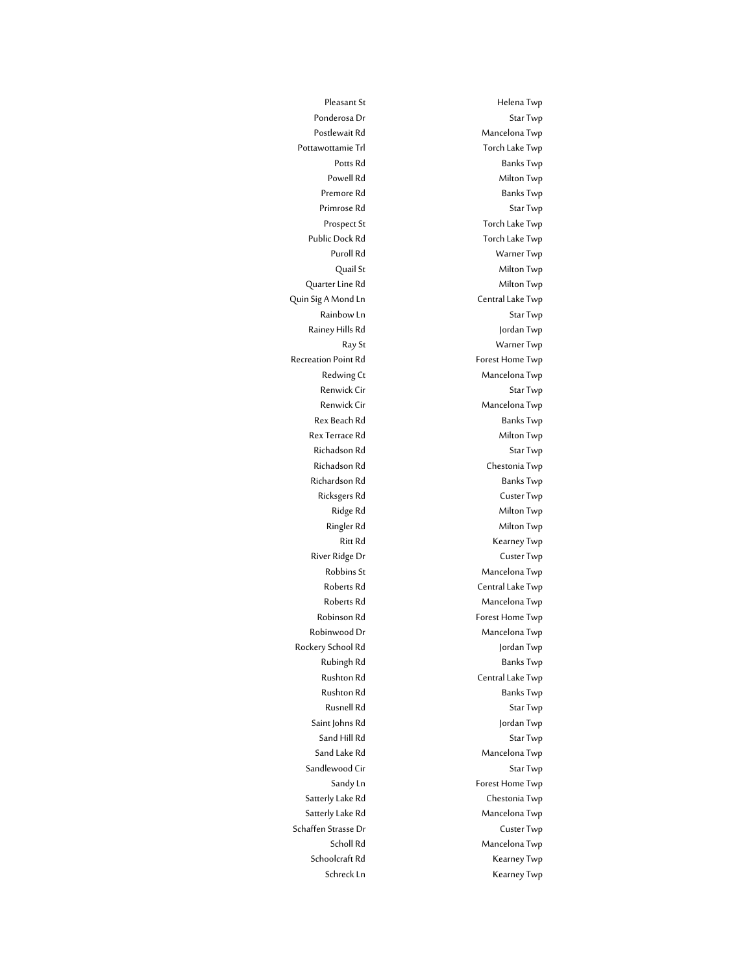Pleasant St **Helena Twp** Ponderosa Dr Star Twp Postlewait Rd Mancelona Twp Pottawottamie Trl **The Community Community** Torch Lake Twp Potts Rd Banks Twp Powell Rd Milton Twp Premore Rd Banks Twp Primrose Rd Star Twp Prospect St Torch Lake Twp Public Dock Rd Torch Lake Twp Puroll Rd Warner Twp Quail St Milton Twp Quarter Line Rd Milton Twp Quin Sig A Mond Ln Central Lake Twp Rainbow Ln Star Twp Rainey Hills Rd **Jordan Twp** Ray St Warner Twp Recreation Point Rd Forest Home Twp Redwing Ct Mancelona Twp Renwick Cir Star Twp Renwick Cir **Mancelona** Twp Rex Beach Rd Banks Twp Rex Terrace Rd Milton Twp Richadson Rd<br>
Star Twp Richadson Rd Chestonia Twp Richardson Rd<br>Banks Twp Ricksgers Rd Custer Twp Ridge Rd **Milton Twp** Ringler Rd Milton Twp Ritt Rd
Kearney Twp **Kearney Twp** River Ridge Dr **Custer Twp** Robbins St Mancelona Twp Roberts Rd Central Lake Twp Roberts Rd<br>
Mancelona Twp Robinson Rd Forest Home Twp Robinwood Dr Mancelona Twp Rockery School Rd Jordan Twp Rubingh Rd Banks Twp Rushton Rd Central Lake Twp Rushton Rd<br>Banks Twp Rusnell Rd Star Twp Saint Johns Rd Jordan Twp Sand Hill Rd Star Twp Sand Lake Rd Mancelona Twp Sandlewood Cir Star Twp Sandy Ln Forest Home Twp Satterly Lake Rd
Satterly Lake Rd
Satterly Lake Rd
Satterly
Lake Rd
Satterly
Lake Rd
Satterly
Lake Rd
Satterly
Lake Rd
Satterly
Lake Rd
Satterly
Lake Rd
Satterly
Lake Rd
Satterly
Lake Rd
Satterly
Lake Rd
Satterly
Lake Rd
S Satterly Lake Rd Mancelona Twp Schaffen Strasse Dr Custer Twp Scholl Rd Mancelona Twp Schoolcraft Rd Kearney Twp Schreck Ln<br>
Kearney Twp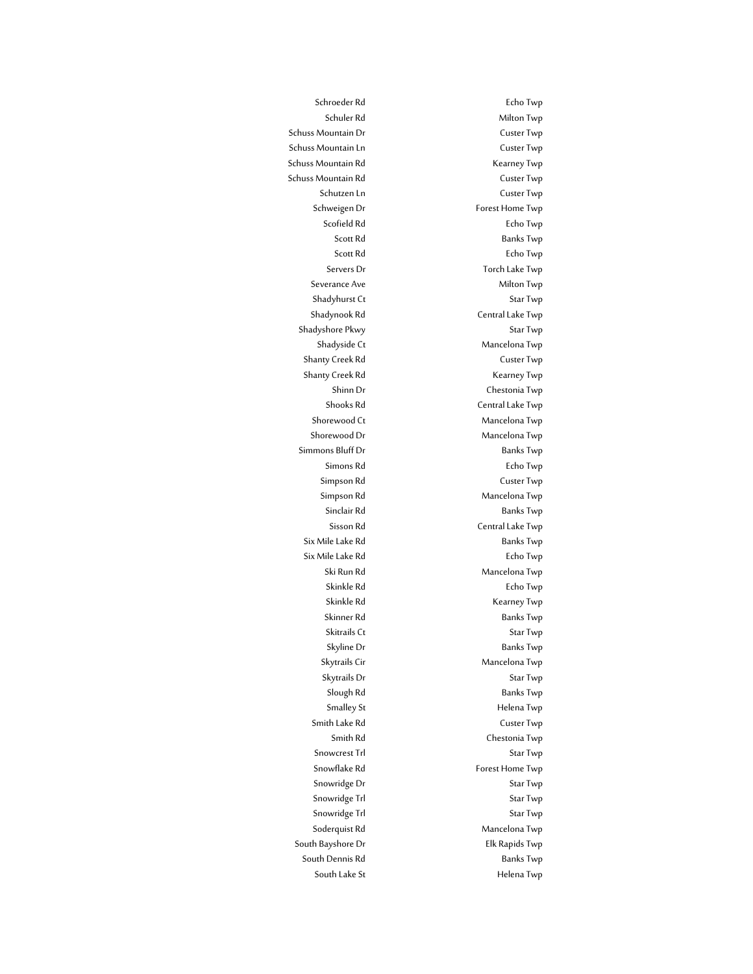Schroeder Rd **Echo Twp** Schuler Rd
Milton Twp
Milton Twp
Milton Twp
Schuler Rd
Milton Twp
Milton Twp
Milton Twp
Schuler Rd
Milton Twp
Schuler Rd
Milton Twp
Schuler Rd
Milton Twp
Schuler Rd
Milton Twp
Schuler Rd
Milton Twp
Schuler Rd
Milton Twp
Sc Schuss Mountain Dr **Custer Twp** Schuss Mountain Ln Custer Twp Schuss Mountain Rd Kearney Twp Schuss Mountain Rd **Custer Twp** Schutzen Ln Custer Twp Schweigen Dr Forest Home Twp Scofield Rd
Echo Twp
Bcofield Rd
Echo Twp
Bcofield Rd
Echo Twp
Bcofield Rd
Echo Twp
Bcofield Rd
Echo Twp
Bcofield Rd
Echo Twp
Bcofield Rd
Echo Twp
Bcofield Rd
Echo Twp
Bcofield Rd
Echo Twp
Bcofield Rd
Echo Twp
Bcofield Rd Scott Rd
Banks Twp
Banks Twp
Banks Twp
Banks Twp
Banks Twp
Banks Twp
Banks Twp
Banks Twp
Banks Twp
Banks Twp
Banks Twp
Banks Twp
Banks Twp
Banks Twp
Banks Twp
Banks Twp
Banks Twp
Banks Twp
Banks Twp
Banks Twp
Banks Twp
Ban Scott Rd Echo Twp Servers Dr Torch Lake Twp Severance Ave Milton Twp Shadyhurst Ct Star Twp Shadynook Rd Central Lake Twp Shadyshore Pkwy Star Twp Shadyside Ct **Mancelona** Twp Shanty Creek Rd Custer Twp Shanty Creek Rd Kearney Twp Shinn Dr Chestonia Twp Shooks Rd Central Lake Twp Shorewood Ct **Mancelona** Twp Shorewood Dr Mancelona Twp Simmons Bluff Dr Banks Twp Simons Rd Echo Twp Simpson Rd Custer Twp Simpson Rd Mancelona Twp Sinclair Rd Banks Twp Sisson Rd Central Lake Twp Six Mile Lake Rd Banks Twp Six Mile Lake Rd **Echo Twp** Ski Run Rd Mancelona Twp Skinkle Rd **Echo Twp** Skinkle Rd **Kearney Twp** Skinner Rd Banks Twp Skitrails Ct Star Twp Skyline Dr Banks Twp Skytrails Cir Mancelona Twp Skytrails Dr Star Twp Slough Rd Banks Twp Smalley St **Helena Twp** Smith Lake Rd **Custer Twp** Smith Rd Chestonia Twp Snowcrest Trl Star Twp Snowflake Rd
Forest Home Twp
Snowflake Rd
Snow Forest Home Twp
Snow Forest Home Twp
Snow Forest Home Twp
Snow Forest Home Twp
Snow flate Rd
Snow flate Rd
Snow flate Rd
Snow flate Rd
Snow flate Rd
Snow flate Rd
Snow flate R Snowridge Dr Snowridge Dr Star Twp Snowridge Trl Snowridge Trl Star Twp Snowridge Trl Snowridge Trl Star Twp Soderquist Rd
annual Contract Mancelona Twp
Soderquist Rd
annual Contract Mancelona Twp
Soderquist Rd
Soder annual Contract Mancelona Twp
annual Contract Mancelona Twp
annual Contract Mancelona Twp
annual Contract Mancelon South Bayshore Dr **Elk Rapids Twp** South Dennis Rd Banks Twp South Lake St **Helena** Twp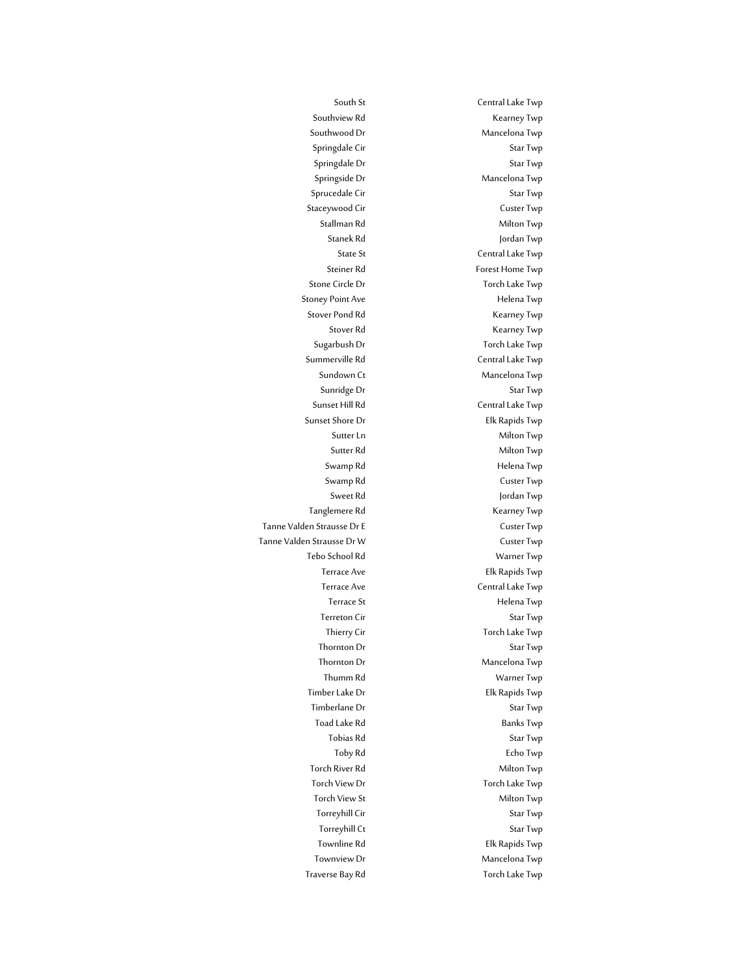South St Central Lake Twp Southview Rd Kearney Twp Southwood Dr Mancelona Twp Springdale Cir Springdale Cir Star Twp Springdale Dr Star Twp Springside Dr Mancelona Twp Sprucedale Cir Star Twp Staceywood Cir Custer Twp Stallman Rd Milton Twp Stanek Rd Jordan Twp State St **Central Lake Twp** Steiner Rd
Forest Home Twp
Steiner Rd
<sub>Forest</sub> Home Twp
<sub>Forest</sub> Stone Circle Dr Torch Lake Twp Stover Pond Rd Kearney Twp Stover Rd **Kearney Twp** Sugarbush Dr Torch Lake Twp Summerville Rd Central Lake Twp Sundown Ct Mancelona Twp Sunridge Dr Star Twp Sunset Hill Rd Central Lake Twp Sunset Shore Dr **Elk Rapids Twp** Sutter Ln Milton Twp Sutter Rd Milton Twp Swamp Rd **Helena Twp** Swamp Rd Custer Twp Sweet Rd Jordan Twp Tanglemere Rd Kearney Twp Tebo School Rd Warner Twp Terrace Ave **Elk Rapids** Twp Terrace Ave Central Lake Twp Terrace St **Helena** Twp Terreton Cir Star Twp Thierry Cir **Thierry Circle Twp** Thornton Dr Star Twp Thornton Dr Mancelona Twp Thumm Rd Warner Twp Timber Lake Dr **Elk Rapids Twp** Timberlane Dr Star Twp Toad Lake Rd Banks Twp Tobias Rd Star Twp Toby Rd Echo Twp Torch River Rd Milton Twp Torch View Dr **Torch Lake Twp** Torch View St **Milton Twp** Torreyhill Cir Star Twp Torreyhill Ct Star Twp Townline Rd
Elk Rapids Twp

Town Townview Dr **Mancelona** Twp Traverse Bay Rd Torch Lake Twp

Stoney Point Ave **Helena** Twp Tanne Valden Strausse Dr E Custer Twp Tanne Valden Strausse Dr W Custer Twp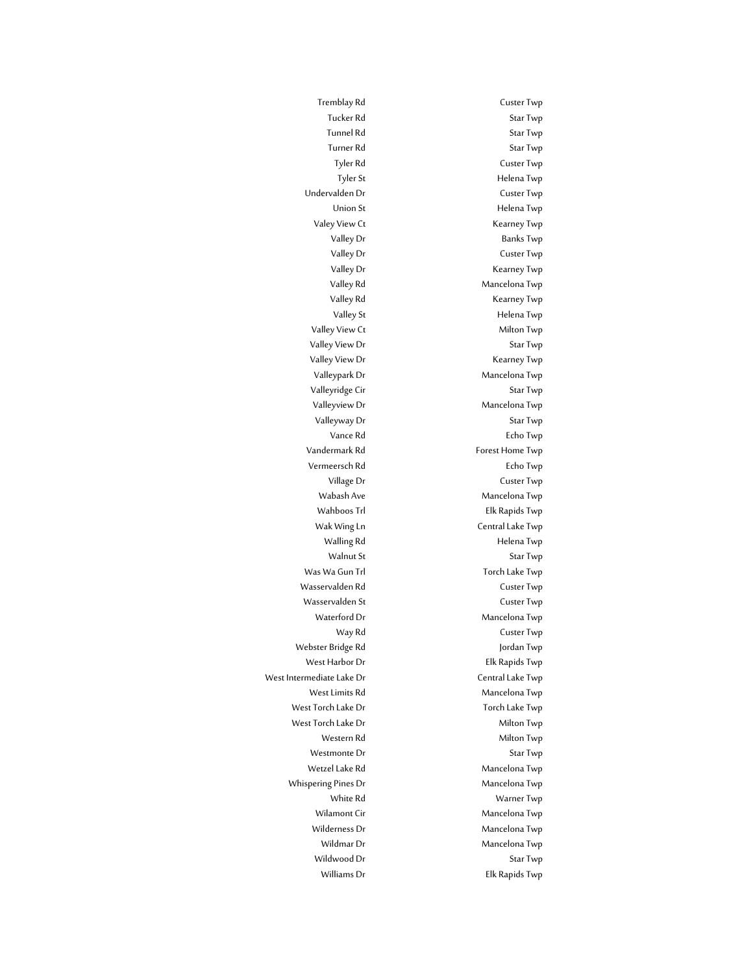Tremblay Rd Custer Twp Tucker Rd Star Twp Tunnel Rd Star Twp Turner Rd Star Twp Tyler Rd Custer Twp Tyler St Helena Twp Undervalden Dr Custer Twp Union St Helena Twp Valey View Ct **Kearney Twp** Valley Dr Banks Twp Valley Dr Custer Twp Valley Dr Kearney Twp Valley Rd Mancelona Twp Valley Rd **Kearney Twp** Valley St **Helena Twp** Valley View Ct **Milton Twp** Valley View Dr Star Twp Valley View Dr **Kearney Twp** Valleypark Dr Mancelona Twp Valleyridge Cir Star Twp Valleyview Dr Mancelona Twp Valleyway Dr Star Twp Vance Rd Echo Twp Vandermark Rd Forest Home Twp Vermeersch Rd Echo Twp Village Dr Custer Twp Wabash Ave Mancelona Twp Wahboos Trl **Elk Rapids Twp** Wak Wing Ln<br>
Central Lake Twp Walling Rd **Helena Twp** Walnut St Star Twp Waterford Dr Mancelona Twp Way Rd **Custer Twp** West Harbor Dr **Elk Rapids Twp** West Limits Rd Mancelona Twp Western Rd Milton Twp Westmonte Dr Star Twp Wetzel Lake Rd<br>
Mancelona Twp White Rd Warner Twp Wilamont Cir **Mancelona Twp** Mancelona Twp Wilderness Dr Mancelona Twp Wildmar Dr Mancelona Twp Wildwood Dr Star Twp Williams Dr **Elk Rapids Twp** 

Was Wa Gun Trl Torch Lake Twp Wasservalden Rd Custer Twp Wasservalden St and Two Custer Twp Webster Bridge Rd Jordan Twp West Intermediate Lake Dr Central Lake Twp West Torch Lake Dr Torch Lake Twp West Torch Lake Dr Milton Twp Whispering Pines Dr Mancelona Twp